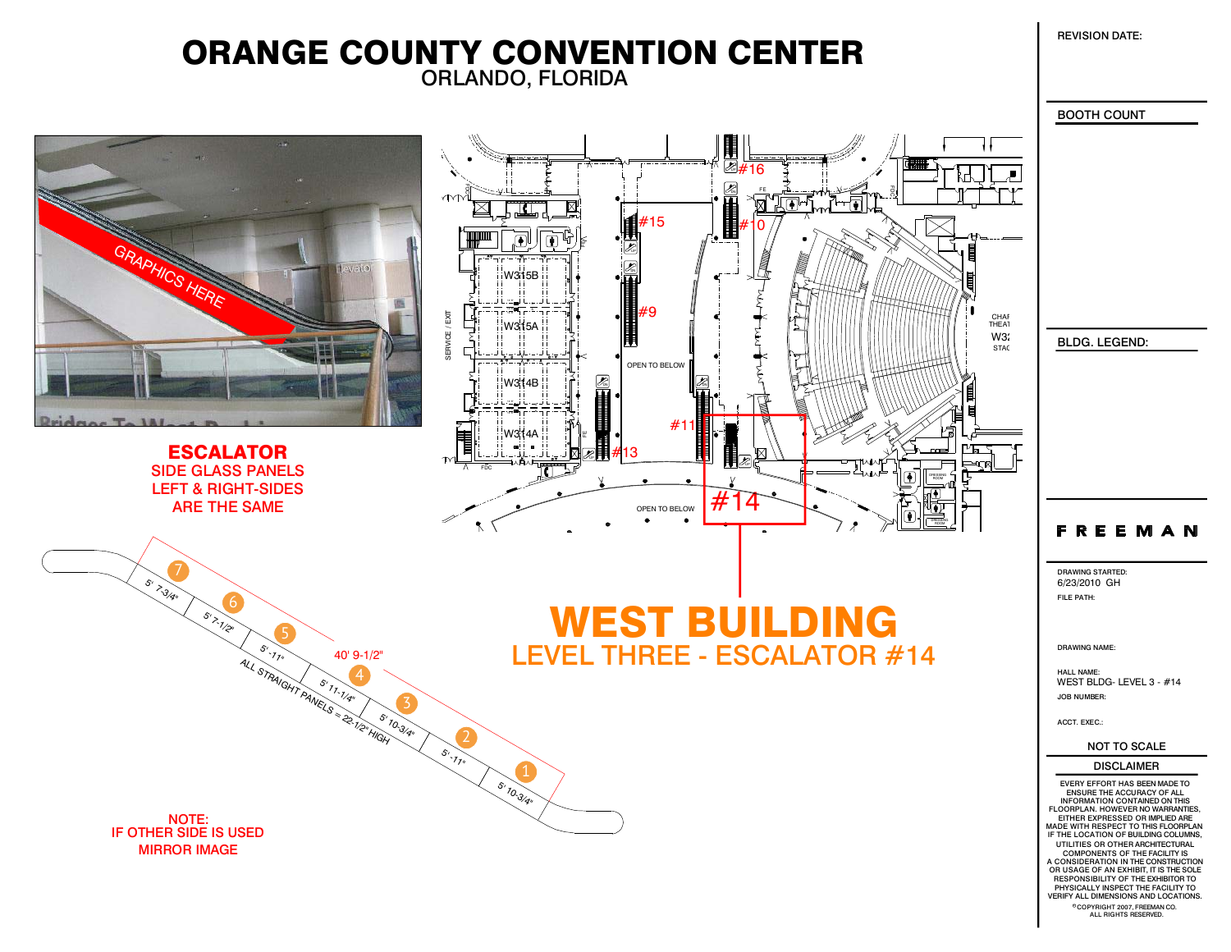REVISION DATE:

## ORLANDO, FLORIDA ORANGE COUNTY CONVENTION CENTER